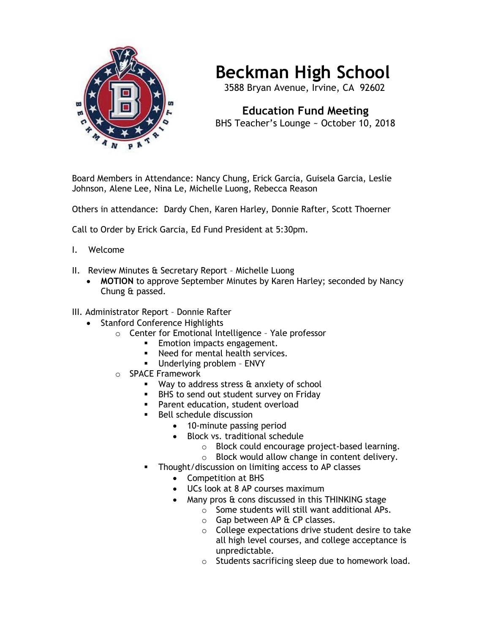

## **Beckman High School**

3588 Bryan Avenue, Irvine, CA 92602

 **Education Fund Meeting** BHS Teacher's Lounge ~ October 10, 2018

Board Members in Attendance: Nancy Chung, Erick Garcia, Guisela Garcia, Leslie Johnson, Alene Lee, Nina Le, Michelle Luong, Rebecca Reason

Others in attendance: Dardy Chen, Karen Harley, Donnie Rafter, Scott Thoerner

Call to Order by Erick Garcia, Ed Fund President at 5:30pm.

- I. Welcome
- II. Review Minutes & Secretary Report Michelle Luong
	- **MOTION** to approve September Minutes by Karen Harley; seconded by Nancy Chung & passed.
- III. Administrator Report Donnie Rafter
	- Stanford Conference Highlights
		- o Center for Emotional Intelligence Yale professor
			- **Emotion impacts engagement.**
			- Need for mental health services.
			- Underlying problem ENVY
		- o SPACE Framework
			- Way to address stress & anxiety of school
			- BHS to send out student survey on Friday
			- **•** Parent education, student overload
			- Bell schedule discussion
				- 10-minute passing period
				- Block vs. traditional schedule
					- o Block could encourage project-based learning.
					- o Block would allow change in content delivery.
			- Thought/discussion on limiting access to AP classes
				- Competition at BHS
				- UCs look at 8 AP courses maximum
					- Many pros & cons discussed in this THINKING stage
						- o Some students will still want additional APs.
							- $\circ$  Gap between AP & CP classes.
						- o College expectations drive student desire to take all high level courses, and college acceptance is unpredictable.
						- o Students sacrificing sleep due to homework load.